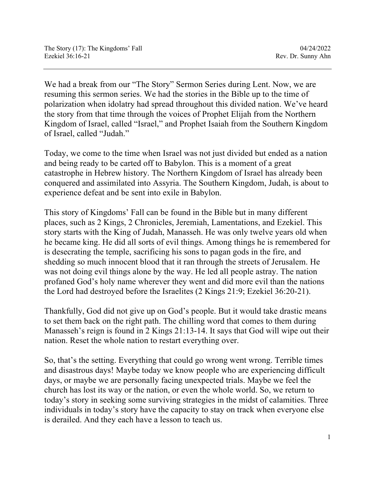We had a break from our "The Story" Sermon Series during Lent. Now, we are resuming this sermon series. We had the stories in the Bible up to the time of polarization when idolatry had spread throughout this divided nation. We've heard the story from that time through the voices of Prophet Elijah from the Northern Kingdom of Israel, called "Israel," and Prophet Isaiah from the Southern Kingdom of Israel, called "Judah."

Today, we come to the time when Israel was not just divided but ended as a nation and being ready to be carted off to Babylon. This is a moment of a great catastrophe in Hebrew history. The Northern Kingdom of Israel has already been conquered and assimilated into Assyria. The Southern Kingdom, Judah, is about to experience defeat and be sent into exile in Babylon.

This story of Kingdoms' Fall can be found in the Bible but in many different places, such as 2 Kings, 2 Chronicles, Jeremiah, Lamentations, and Ezekiel. This story starts with the King of Judah, Manasseh. He was only twelve years old when he became king. He did all sorts of evil things. Among things he is remembered for is desecrating the temple, sacrificing his sons to pagan gods in the fire, and shedding so much innocent blood that it ran through the streets of Jerusalem. He was not doing evil things alone by the way. He led all people astray. The nation profaned God's holy name wherever they went and did more evil than the nations the Lord had destroyed before the Israelites (2 Kings 21:9; Ezekiel 36:20-21).

Thankfully, God did not give up on God's people. But it would take drastic means to set them back on the right path. The chilling word that comes to them during Manasseh's reign is found in 2 Kings 21:13-14. It says that God will wipe out their nation. Reset the whole nation to restart everything over.

So, that's the setting. Everything that could go wrong went wrong. Terrible times and disastrous days! Maybe today we know people who are experiencing difficult days, or maybe we are personally facing unexpected trials. Maybe we feel the church has lost its way or the nation, or even the whole world. So, we return to today's story in seeking some surviving strategies in the midst of calamities. Three individuals in today's story have the capacity to stay on track when everyone else is derailed. And they each have a lesson to teach us.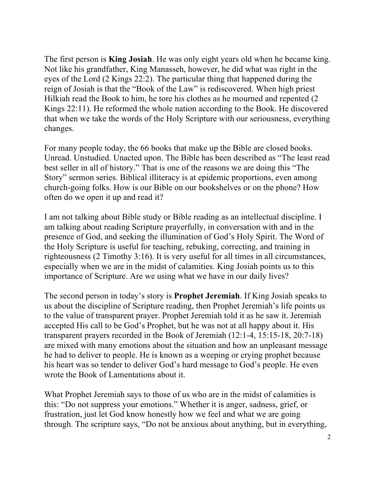The first person is **King Josiah**. He was only eight years old when he became king. Not like his grandfather, King Manasseh, however, he did what was right in the eyes of the Lord (2 Kings 22:2). The particular thing that happened during the reign of Josiah is that the "Book of the Law" is rediscovered. When high priest Hilkiah read the Book to him, he tore his clothes as he mourned and repented (2 Kings 22:11). He reformed the whole nation according to the Book. He discovered that when we take the words of the Holy Scripture with our seriousness, everything changes.

For many people today, the 66 books that make up the Bible are closed books. Unread. Unstudied. Unacted upon. The Bible has been described as "The least read best seller in all of history." That is one of the reasons we are doing this "The Story" sermon series. Biblical illiteracy is at epidemic proportions, even among church-going folks. How is our Bible on our bookshelves or on the phone? How often do we open it up and read it?

I am not talking about Bible study or Bible reading as an intellectual discipline. I am talking about reading Scripture prayerfully, in conversation with and in the presence of God, and seeking the illumination of God's Holy Spirit. The Word of the Holy Scripture is useful for teaching, rebuking, correcting, and training in righteousness (2 Timothy 3:16). It is very useful for all times in all circumstances, especially when we are in the midst of calamities. King Josiah points us to this importance of Scripture. Are we using what we have in our daily lives?

The second person in today's story is **Prophet Jeremiah**. If King Josiah speaks to us about the discipline of Scripture reading, then Prophet Jeremiah's life points us to the value of transparent prayer. Prophet Jeremiah told it as he saw it. Jeremiah accepted His call to be God's Prophet, but he was not at all happy about it. His transparent prayers recorded in the Book of Jeremiah (12:1-4, 15:15-18, 20:7-18) are mixed with many emotions about the situation and how an unpleasant message he had to deliver to people. He is known as a weeping or crying prophet because his heart was so tender to deliver God's hard message to God's people. He even wrote the Book of Lamentations about it.

What Prophet Jeremiah says to those of us who are in the midst of calamities is this: "Do not suppress your emotions." Whether it is anger, sadness, grief, or frustration, just let God know honestly how we feel and what we are going through. The scripture says, "Do not be anxious about anything, but in everything,